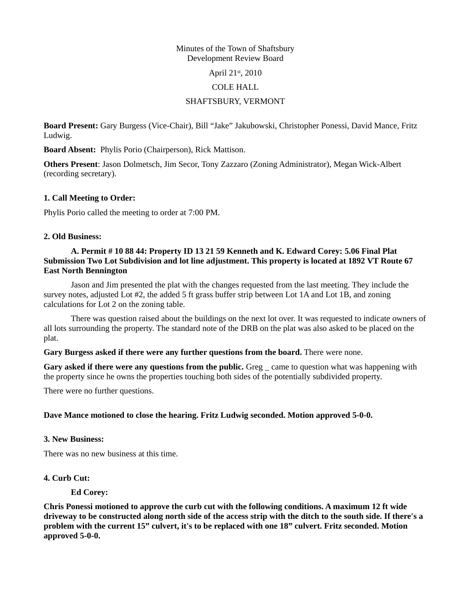#### Minutes of the Town of Shaftsbury Development Review Board

April 21st, 2010

#### COLE HALL

## SHAFTSBURY, VERMONT

**Board Present:** Gary Burgess (Vice-Chair), Bill "Jake" Jakubowski, Christopher Ponessi, David Mance, Fritz Ludwig.

**Board Absent:** Phylis Porio (Chairperson), Rick Mattison.

**Others Present**: Jason Dolmetsch, Jim Secor, Tony Zazzaro (Zoning Administrator), Megan Wick-Albert (recording secretary).

### **1. Call Meeting to Order:**

Phylis Porio called the meeting to order at 7:00 PM.

### **2. Old Business:**

## **A. Permit # 10 88 44: Property ID 13 21 59 Kenneth and K. Edward Corey: 5.06 Final Plat Submission Two Lot Subdivision and lot line adjustment. This property is located at 1892 VT Route 67 East North Bennington**

Jason and Jim presented the plat with the changes requested from the last meeting. They include the survey notes, adjusted Lot #2, the added 5 ft grass buffer strip between Lot 1A and Lot 1B, and zoning calculations for Lot 2 on the zoning table.

There was question raised about the buildings on the next lot over. It was requested to indicate owners of all lots surrounding the property. The standard note of the DRB on the plat was also asked to be placed on the plat.

#### **Gary Burgess asked if there were any further questions from the board.** There were none.

**Gary asked if there were any questions from the public.** Greg came to question what was happening with the property since he owns the properties touching both sides of the potentially subdivided property.

There were no further questions.

### **Dave Mance motioned to close the hearing. Fritz Ludwig seconded. Motion approved 5-0-0.**

#### **3. New Business:**

There was no new business at this time.

### **4. Curb Cut:**

**Ed Corey:**

**Chris Ponessi motioned to approve the curb cut with the following conditions. A maximum 12 ft wide driveway to be constructed along north side of the access strip with the ditch to the south side. If there's a problem with the current 15" culvert, it's to be replaced with one 18" culvert. Fritz seconded. Motion approved 5-0-0.**